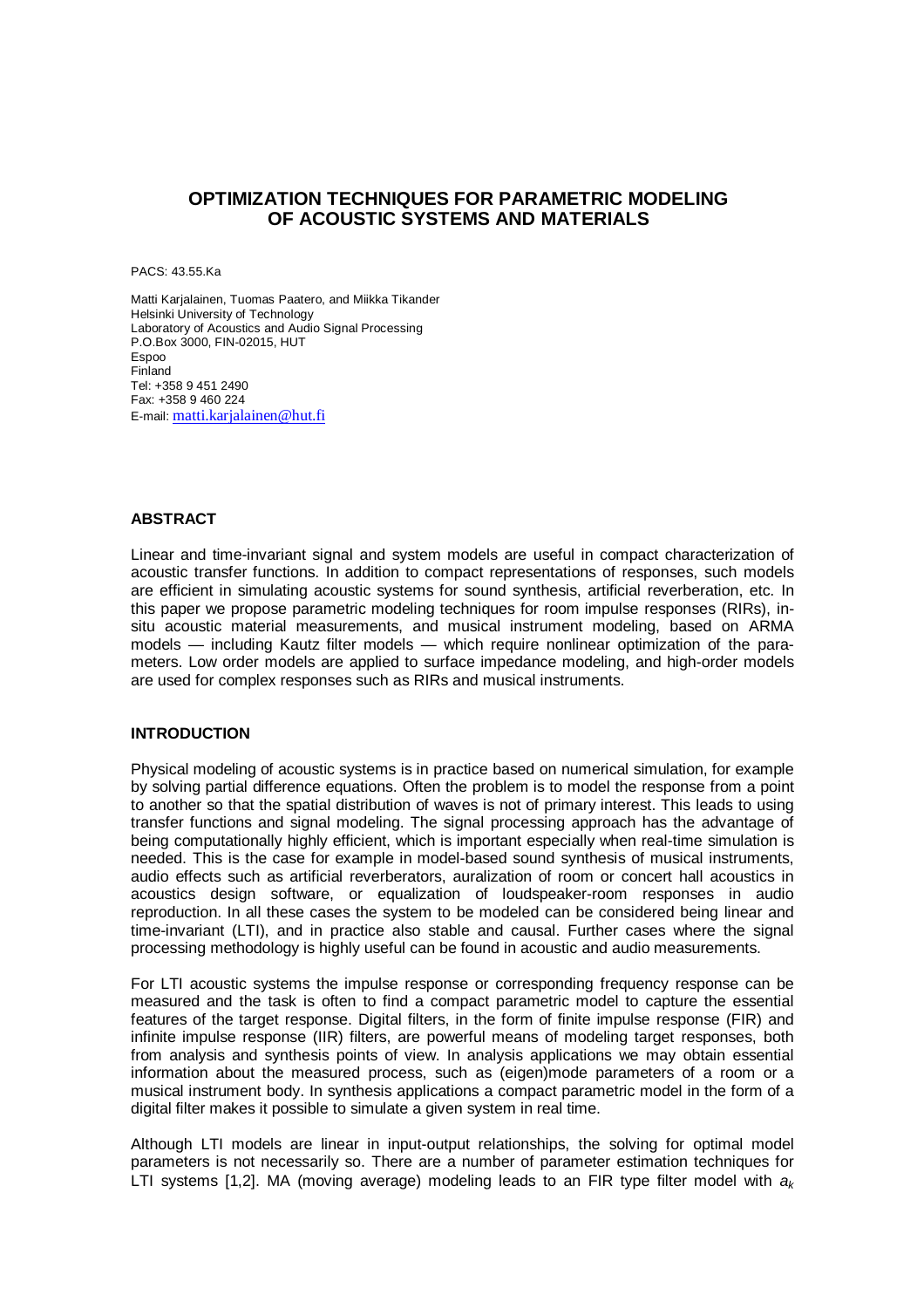# **OPTIMIZATION TECHNIQUES FOR PARAMETRIC MODELING OF ACOUSTIC SYSTEMS AND MATERIALS**

PACS: 43.55.Ka

Matti Karjalainen, Tuomas Paatero, and Miikka Tikander Helsinki University of Technology Laboratory of Acoustics and Audio Signal Processing P.O.Box 3000, FIN-02015, HUT Espoo Finland Tel: +358 9 451 2490 Fax: +358 9 460 224 E-mail: matti.karjalainen@hut.fi

### **ABSTRACT**

Linear and time-invariant signal and system models are useful in compact characterization of acoustic transfer functions. In addition to compact representations of responses, such models are efficient in simulating acoustic systems for sound synthesis, artificial reverberation, etc. In this paper we propose parametric modeling techniques for room impulse responses (RIRs), insitu acoustic material measurements, and musical instrument modeling, based on ARMA models — including Kautz filter models — which require nonlinear optimization of the parameters. Low order models are applied to surface impedance modeling, and high-order models are used for complex responses such as RIRs and musical instruments.

#### **INTRODUCTION**

Physical modeling of acoustic systems is in practice based on numerical simulation, for example by solving partial difference equations. Often the problem is to model the response from a point to another so that the spatial distribution of waves is not of primary interest. This leads to using transfer functions and signal modeling. The signal processing approach has the advantage of being computationally highly efficient, which is important especially when real-time simulation is needed. This is the case for example in model-based sound synthesis of musical instruments, audio effects such as artificial reverberators, auralization of room or concert hall acoustics in acoustics design software, or equalization of loudspeaker-room responses in audio reproduction. In all these cases the system to be modeled can be considered being linear and time-invariant (LTI), and in practice also stable and causal. Further cases where the signal processing methodology is highly useful can be found in acoustic and audio measurements.

For LTI acoustic systems the impulse response or corresponding frequency response can be measured and the task is often to find a compact parametric model to capture the essential features of the target response. Digital filters, in the form of finite impulse response (FIR) and infinite impulse response (IIR) filters, are powerful means of modeling target responses, both from analysis and synthesis points of view. In analysis applications we may obtain essential information about the measured process, such as (eigen)mode parameters of a room or a musical instrument body. In synthesis applications a compact parametric model in the form of a digital filter makes it possible to simulate a given system in real time.

Although LTI models are linear in input-output relationships, the solving for optimal model parameters is not necessarily so. There are a number of parameter estimation techniques for LTI systems [1,2]. MA (moving average) modeling leads to an FIR type filter model with  $a_k$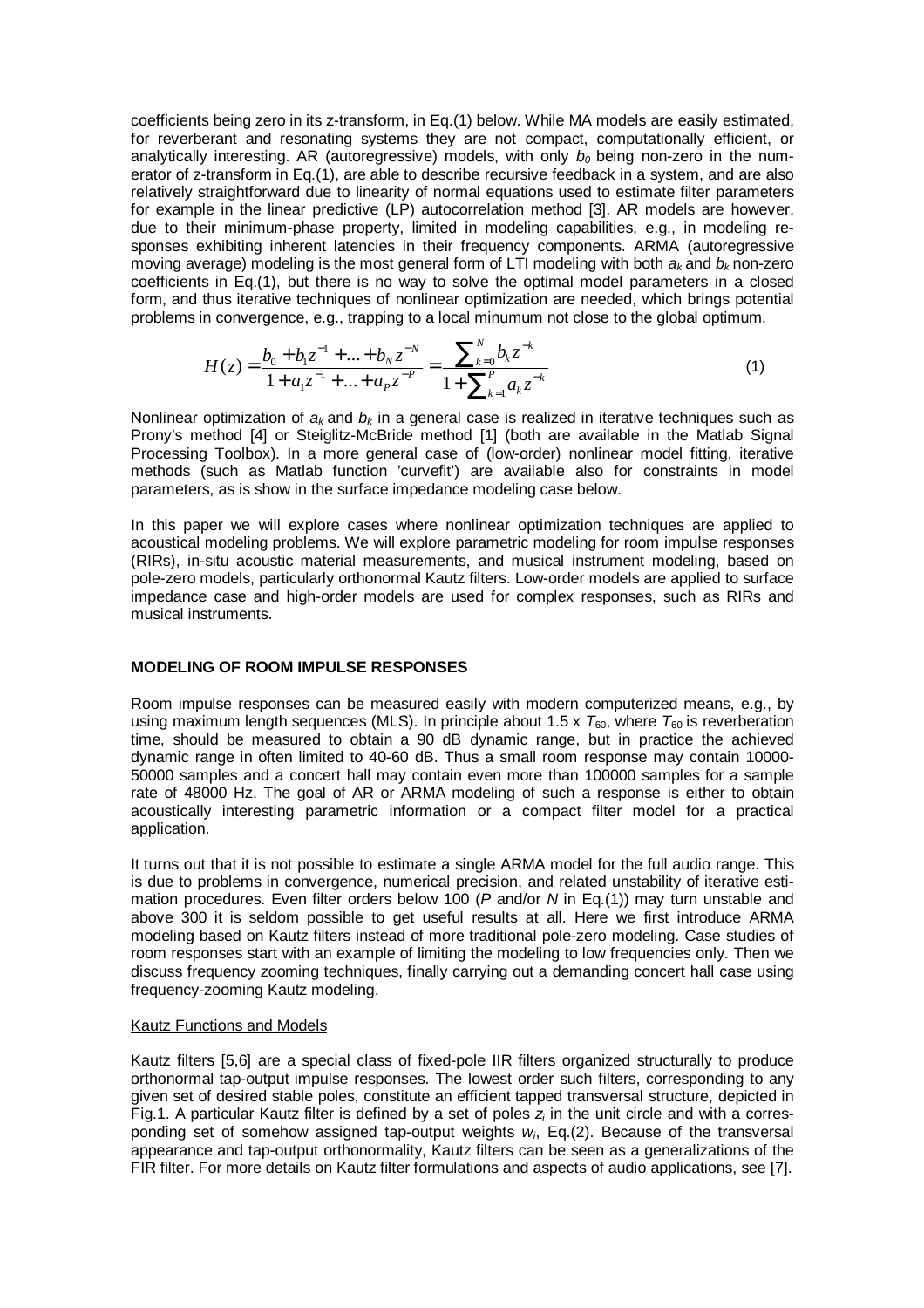coefficients being zero in its z-transform, in Eq.(1) below. While MA models are easily estimated, for reverberant and resonating systems they are not compact, computationally efficient, or analytically interesting. AR (autoregressive) models, with only  $b_0$  being non-zero in the numerator of z-transform in Eq.(1), are able to describe recursive feedback in a system, and are also relatively straightforward due to linearity of normal equations used to estimate filter parameters for example in the linear predictive (LP) autocorrelation method [3]. AR models are however, due to their minimum-phase property, limited in modeling capabilities, e.g., in modeling responses exhibiting inherent latencies in their frequency components. ARMA (autoregressive moving average) modeling is the most general form of LTI modeling with both  $a_k$  and  $b_k$  non-zero coefficients in Eq.(1), but there is no way to solve the optimal model parameters in a closed form, and thus iterative techniques of nonlinear optimization are needed, which brings potential problems in convergence, e.g., trapping to a local minumum not close to the global optimum.

$$
H(z) = \frac{b_0 + b_1 z^{-1} + \dots + b_N z^{-N}}{1 + a_1 z^{-1} + \dots + a_P z^{-P}} = \frac{\sum_{k=0}^{N} b_k z^{-k}}{1 + \sum_{k=1}^{P} a_k z^{-k}}
$$
(1)

Nonlinear optimization of  $a_k$  and  $b_k$  in a general case is realized in iterative techniques such as Prony's method [4] or Steiglitz-McBride method [1] (both are available in the Matlab Signal Processing Toolbox). In a more general case of (low-order) nonlinear model fitting, iterative methods (such as Matlab function 'curvefit') are available also for constraints in model parameters, as is show in the surface impedance modeling case below.

In this paper we will explore cases where nonlinear optimization techniques are applied to acoustical modeling problems. We will explore parametric modeling for room impulse responses (RIRs), in-situ acoustic material measurements, and musical instrument modeling, based on pole-zero models, particularly orthonormal Kautz filters. Low-order models are applied to surface impedance case and high-order models are used for complex responses, such as RIRs and musical instruments.

#### **MODELING OF ROOM IMPULSE RESPONSES**

Room impulse responses can be measured easily with modern computerized means, e.g., by using maximum length sequences (MLS). In principle about 1.5 x  $T_{60}$ , where  $T_{60}$  is reverberation time, should be measured to obtain a 90 dB dynamic range, but in practice the achieved dynamic range in often limited to 40-60 dB. Thus a small room response may contain 10000- 50000 samples and a concert hall may contain even more than 100000 samples for a sample rate of 48000 Hz. The goal of AR or ARMA modeling of such a response is either to obtain acoustically interesting parametric information or a compact filter model for a practical application.

It turns out that it is not possible to estimate a single ARMA model for the full audio range. This is due to problems in convergence, numerical precision, and related unstability of iterative estimation procedures. Even filter orders below 100 (P and/or N in Eq.(1)) may turn unstable and above 300 it is seldom possible to get useful results at all. Here we first introduce ARMA modeling based on Kautz filters instead of more traditional pole-zero modeling. Case studies of room responses start with an example of limiting the modeling to low frequencies only. Then we discuss frequency zooming techniques, finally carrying out a demanding concert hall case using frequency-zooming Kautz modeling.

#### Kautz Functions and Models

Kautz filters [5,6] are a special class of fixed-pole IIR filters organized structurally to produce orthonormal tap-output impulse responses. The lowest order such filters, corresponding to any given set of desired stable poles, constitute an efficient tapped transversal structure, depicted in Fig.1. A particular Kautz filter is defined by a set of poles  $z_i$  in the unit circle and with a corresponding set of somehow assigned tap-output weights  $w_i$ , Eq.(2). Because of the transversal appearance and tap-output orthonormality, Kautz filters can be seen as a generalizations of the FIR filter. For more details on Kautz filter formulations and aspects of audio applications, see [7].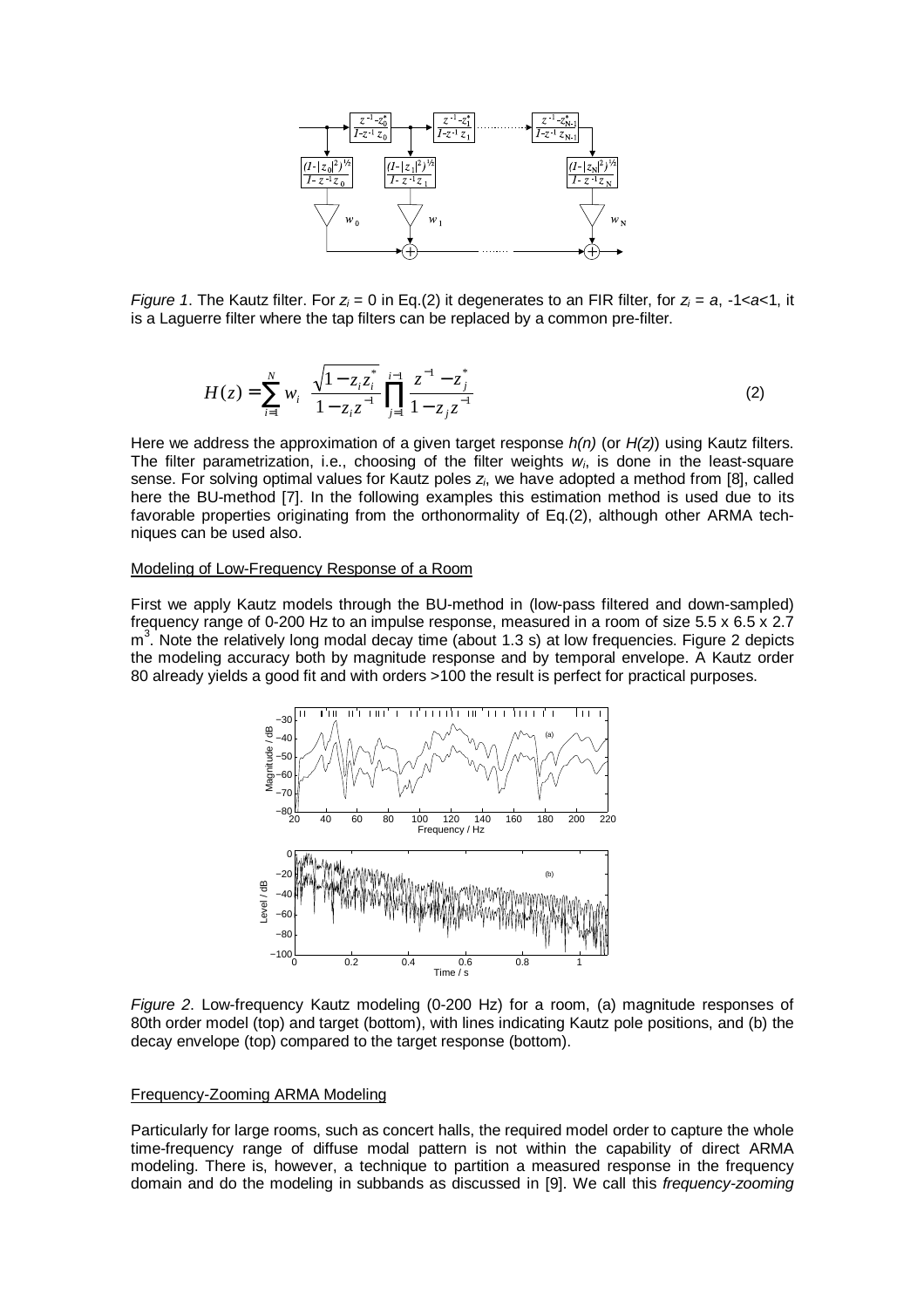

Figure 1. The Kautz filter. For  $z_i = 0$  in Eq.(2) it degenerates to an FIR filter, for  $z_i = a$ , -1<a> is a Laguerre filter where the tap filters can be replaced by a common pre-filter.

$$
H(z) = \sum_{i=1}^{N} w_i \left( \frac{\sqrt{1 - z_i z_i^*}}{1 - z_i z^{-1}} \prod_{j=1}^{i-1} \frac{z^{-1} - z_j^*}{1 - z_j z^{-1}} \right)
$$
(2)

Here we address the approximation of a given target response  $h(n)$  (or  $H(z)$ ) using Kautz filters. The filter parametrization, i.e., choosing of the filter weights  $w_i$ , is done in the least-square sense. For solving optimal values for Kautz poles  $z_i$ , we have adopted a method from [8], called here the BU-method [7]. In the following examples this estimation method is used due to its favorable properties originating from the orthonormality of Eq.(2), although other ARMA techniques can be used also.

# Modeling of Low-Frequency Response of a Room

First we apply Kautz models through the BU-method in (low-pass filtered and down-sampled) frequency range of 0-200 Hz to an impulse response, measured in a room of size 5.5 x 6.5 x 2.7 m<sup>3</sup>. Note the relatively long modal decay time (about 1.3 s) at low frequencies. Figure 2 depicts the modeling accuracy both by magnitude response and by temporal envelope. A Kautz order 80 already yields a good fit and with orders >100 the result is perfect for practical purposes.



Figure 2. Low-frequency Kautz modeling (0-200 Hz) for a room, (a) magnitude responses of 80th order model (top) and target (bottom), with lines indicating Kautz pole positions, and (b) the decay envelope (top) compared to the target response (bottom).

#### Frequency-Zooming ARMA Modeling

Particularly for large rooms, such as concert halls, the required model order to capture the whole time-frequency range of diffuse modal pattern is not within the capability of direct ARMA modeling. There is, however, a technique to partition a measured response in the frequency domain and do the modeling in subbands as discussed in [9]. We call this frequency-zooming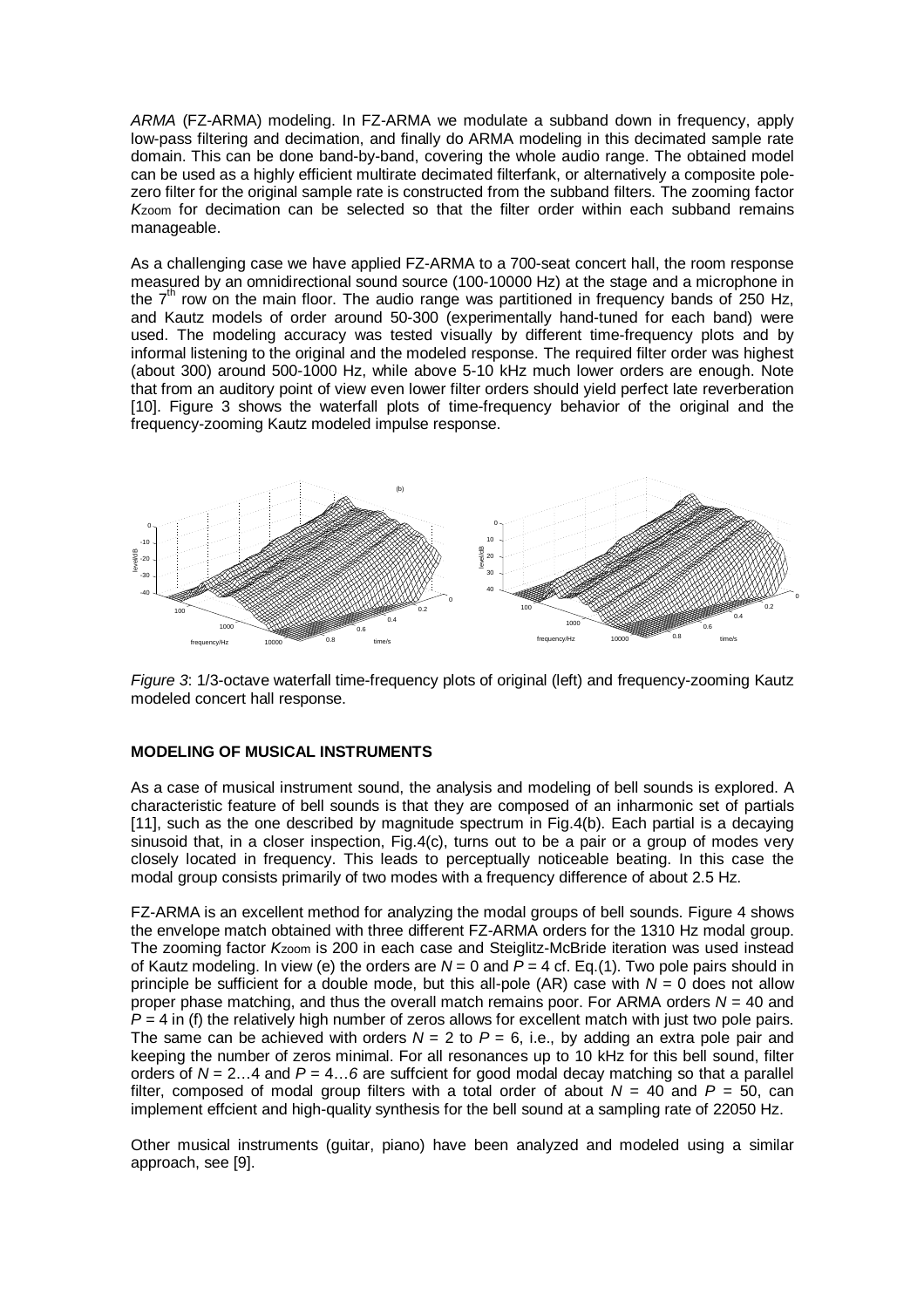ARMA (FZ-ARMA) modeling. In FZ-ARMA we modulate a subband down in frequency, apply low-pass filtering and decimation, and finally do ARMA modeling in this decimated sample rate domain. This can be done band-by-band, covering the whole audio range. The obtained model can be used as a highly efficient multirate decimated filterfank, or alternatively a composite polezero filter for the original sample rate is constructed from the subband filters. The zooming factor Kzoom for decimation can be selected so that the filter order within each subband remains manageable.

As a challenging case we have applied FZ-ARMA to a 700-seat concert hall, the room response measured by an omnidirectional sound source (100-10000 Hz) at the stage and a microphone in the 7<sup>th</sup> row on the main floor. The audio range was partitioned in frequency bands of 250 Hz, and Kautz models of order around 50-300 (experimentally hand-tuned for each band) were used. The modeling accuracy was tested visually by different time-frequency plots and by informal listening to the original and the modeled response. The required filter order was highest (about 300) around 500-1000 Hz, while above 5-10 kHz much lower orders are enough. Note that from an auditory point of view even lower filter orders should yield perfect late reverberation [10]. Figure 3 shows the waterfall plots of time-frequency behavior of the original and the frequency-zooming Kautz modeled impulse response.



Figure 3: 1/3-octave waterfall time-frequency plots of original (left) and frequency-zooming Kautz modeled concert hall response.

## **MODELING OF MUSICAL INSTRUMENTS**

As a case of musical instrument sound, the analysis and modeling of bell sounds is explored. A characteristic feature of bell sounds is that they are composed of an inharmonic set of partials [11], such as the one described by magnitude spectrum in Fig.4(b). Each partial is a decaying sinusoid that, in a closer inspection, Fig.4(c), turns out to be a pair or a group of modes very closely located in frequency. This leads to perceptually noticeable beating. In this case the modal group consists primarily of two modes with a frequency difference of about 2.5 Hz.

FZ-ARMA is an excellent method for analyzing the modal groups of bell sounds. Figure 4 shows the envelope match obtained with three different FZ-ARMA orders for the 1310 Hz modal group. The zooming factor Kzoom is 200 in each case and Steiglitz-McBride iteration was used instead of Kautz modeling. In view (e) the orders are  $N = 0$  and  $\overline{P} = 4$  cf. Eq.(1). Two pole pairs should in principle be sufficient for a double mode, but this all-pole (AR) case with  $N = 0$  does not allow proper phase matching, and thus the overall match remains poor. For ARMA orders  $N = 40$  and  $P = 4$  in (f) the relatively high number of zeros allows for excellent match with just two pole pairs. The same can be achieved with orders  $N = 2$  to  $P = 6$ , i.e., by adding an extra pole pair and keeping the number of zeros minimal. For all resonances up to 10 kHz for this bell sound, filter orders of  $N = 2...4$  and  $P = 4...6$  are suffcient for good modal decay matching so that a parallel filter, composed of modal group filters with a total order of about  $N = 40$  and  $P = 50$ , can implement effcient and high-quality synthesis for the bell sound at a sampling rate of 22050 Hz.

Other musical instruments (guitar, piano) have been analyzed and modeled using a similar approach, see [9].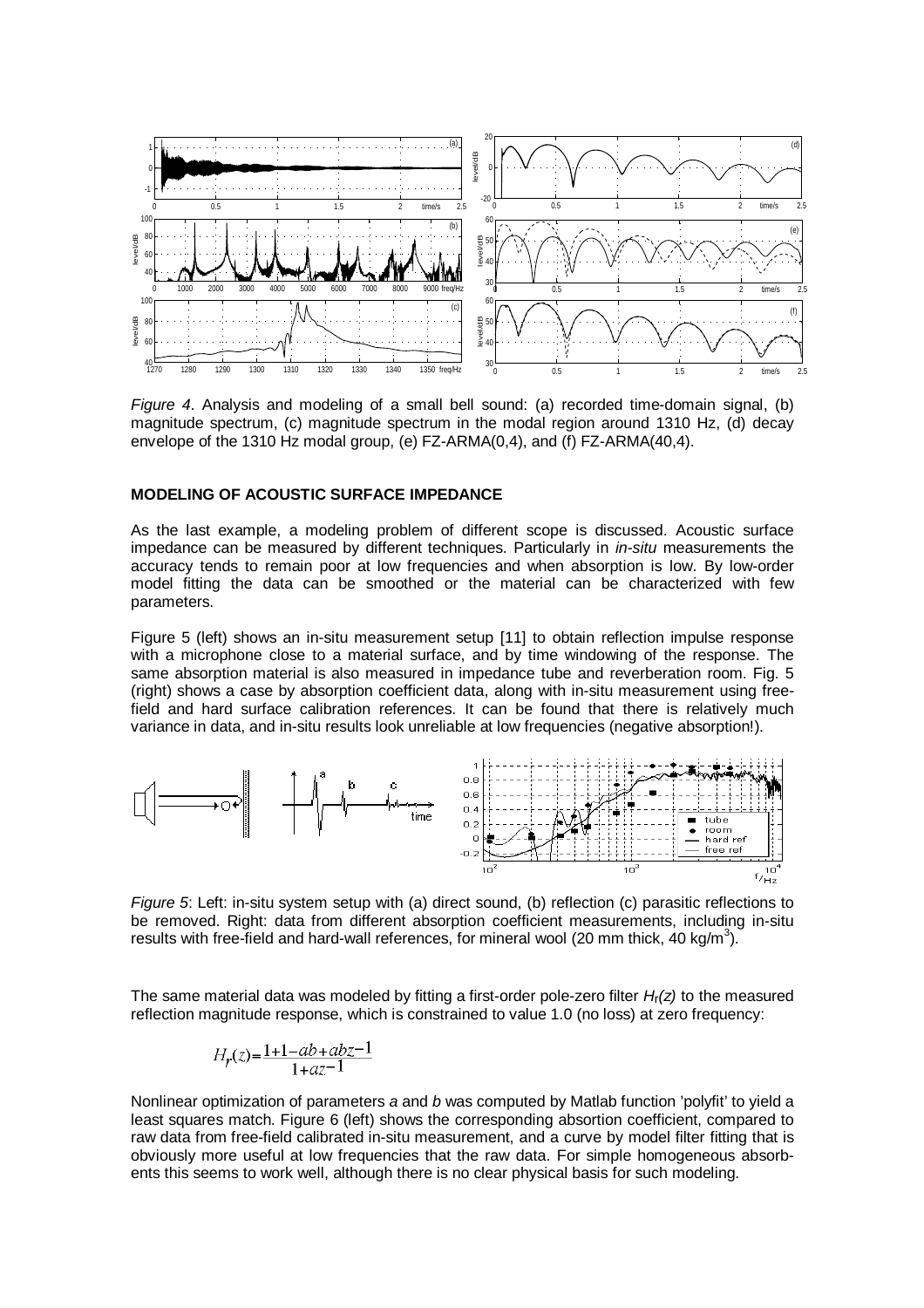

Figure 4. Analysis and modeling of a small bell sound: (a) recorded time-domain signal, (b) magnitude spectrum, (c) magnitude spectrum in the modal region around 1310 Hz, (d) decay envelope of the 1310 Hz modal group, (e) FZ-ARMA(0,4), and (f) FZ-ARMA(40,4).

### **MODELING OF ACOUSTIC SURFACE IMPEDANCE**

As the last example, a modeling problem of different scope is discussed. Acoustic surface impedance can be measured by different techniques. Particularly in *in-situ* measurements the accuracy tends to remain poor at low frequencies and when absorption is low. By low-order model fitting the data can be smoothed or the material can be characterized with few parameters.

Figure 5 (left) shows an in-situ measurement setup [11] to obtain reflection impulse response with a microphone close to a material surface, and by time windowing of the response. The same absorption material is also measured in impedance tube and reverberation room. Fig. 5 (right) shows a case by absorption coefficient data, along with in-situ measurement using freefield and hard surface calibration references. It can be found that there is relatively much variance in data, and in-situ results look unreliable at low frequencies (negative absorption!).



Figure 5: Left: in-situ system setup with (a) direct sound, (b) reflection (c) parasitic reflections to be removed. Right: data from different absorption coefficient measurements, including in-situ results with free-field and hard-wall references, for mineral wool (20 mm thick, 40 kg/m<sup>3</sup>).

The same material data was modeled by fitting a first-order pole-zero filter  $H_r(z)$  to the measured reflection magnitude response, which is constrained to value 1.0 (no loss) at zero frequency:

$$
H_r(z) = \frac{1 + 1 - ab + abz - 1}{1 + az - 1}
$$

Nonlinear optimization of parameters a and b was computed by Matlab function 'polyfit' to yield a least squares match. Figure 6 (left) shows the corresponding absortion coefficient, compared to raw data from free-field calibrated in-situ measurement, and a curve by model filter fitting that is obviously more useful at low frequencies that the raw data. For simple homogeneous absorbents this seems to work well, although there is no clear physical basis for such modeling.